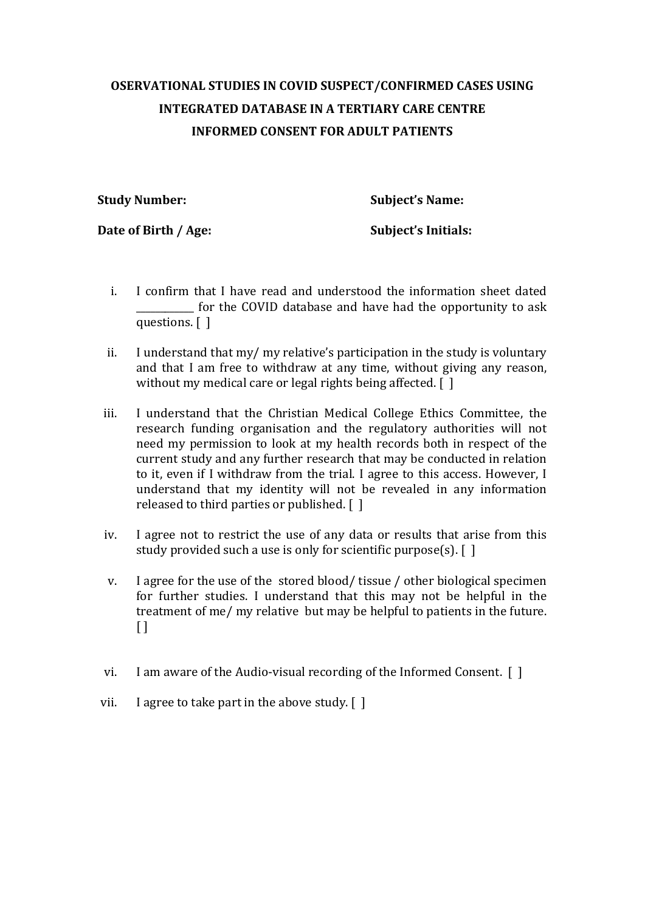## **OSERVATIONAL STUDIES IN COVID SUSPECT/CONFIRMED CASES USING INTEGRATED DATABASE IN A TERTIARY CARE CENTRE INFORMED CONSENT FOR ADULT PATIENTS**

**Study Number: Subject's Name:**

Date of Birth / Age: Subject's Initials:

- i. I confirm that I have read and understood the information sheet dated for the COVID database and have had the opportunity to ask questions. [ ]
- ii. I understand that my/ my relative's participation in the study is voluntary and that I am free to withdraw at any time, without giving any reason, without my medical care or legal rights being affected. [ ]
- iii. I understand that the Christian Medical College Ethics Committee, the research funding organisation and the regulatory authorities will not need my permission to look at my health records both in respect of the current study and any further research that may be conducted in relation to it, even if I withdraw from the trial. I agree to this access. However, I understand that my identity will not be revealed in any information released to third parties or published. [ ]
- iv. I agree not to restrict the use of any data or results that arise from this study provided such a use is only for scientific purpose(s). [ ]
- v. I agree for the use of the stored blood/ tissue / other biological specimen for further studies. I understand that this may not be helpful in the treatment of me/ my relative but may be helpful to patients in the future.  $\lceil \rceil$
- vi. I am aware of the Audio-visual recording of the Informed Consent. [ ]
- vii. I agree to take part in the above study.  $\lceil \cdot \rceil$